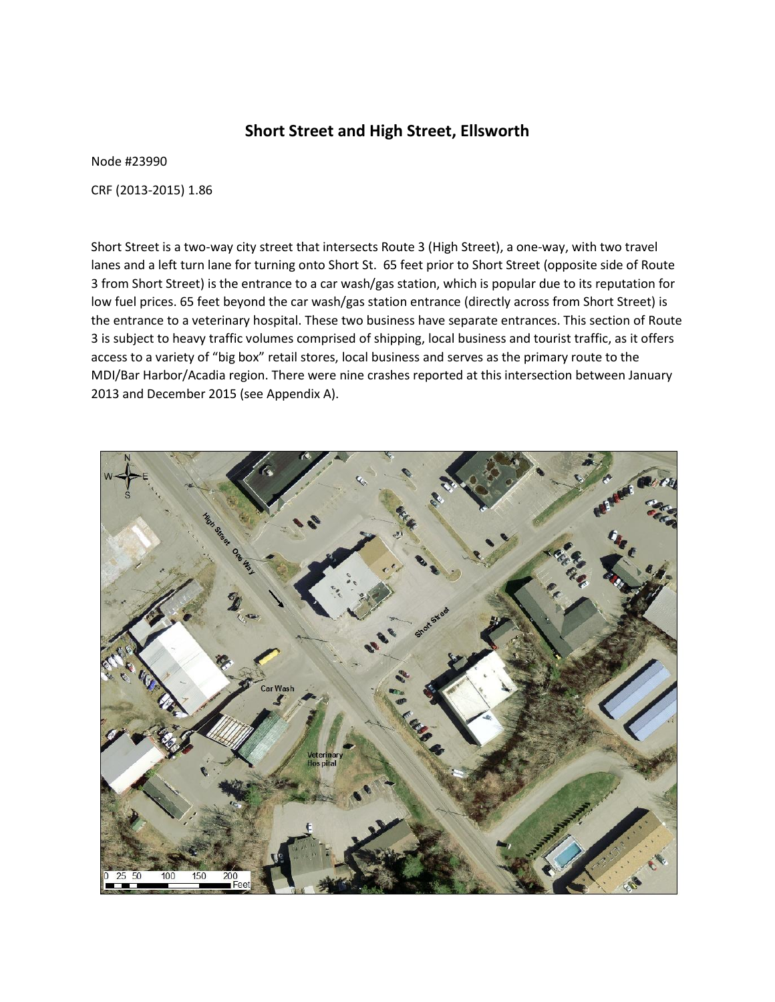## **Short Street and High Street, Ellsworth**

Node #23990

CRF (2013-2015) 1.86

Short Street is a two-way city street that intersects Route 3 (High Street), a one-way, with two travel lanes and a left turn lane for turning onto Short St. 65 feet prior to Short Street (opposite side of Route 3 from Short Street) is the entrance to a car wash/gas station, which is popular due to its reputation for low fuel prices. 65 feet beyond the car wash/gas station entrance (directly across from Short Street) is the entrance to a veterinary hospital. These two business have separate entrances. This section of Route 3 is subject to heavy traffic volumes comprised of shipping, local business and tourist traffic, as it offers access to a variety of "big box" retail stores, local business and serves as the primary route to the MDI/Bar Harbor/Acadia region. There were nine crashes reported at this intersection between January 2013 and December 2015 (see Appendix A).

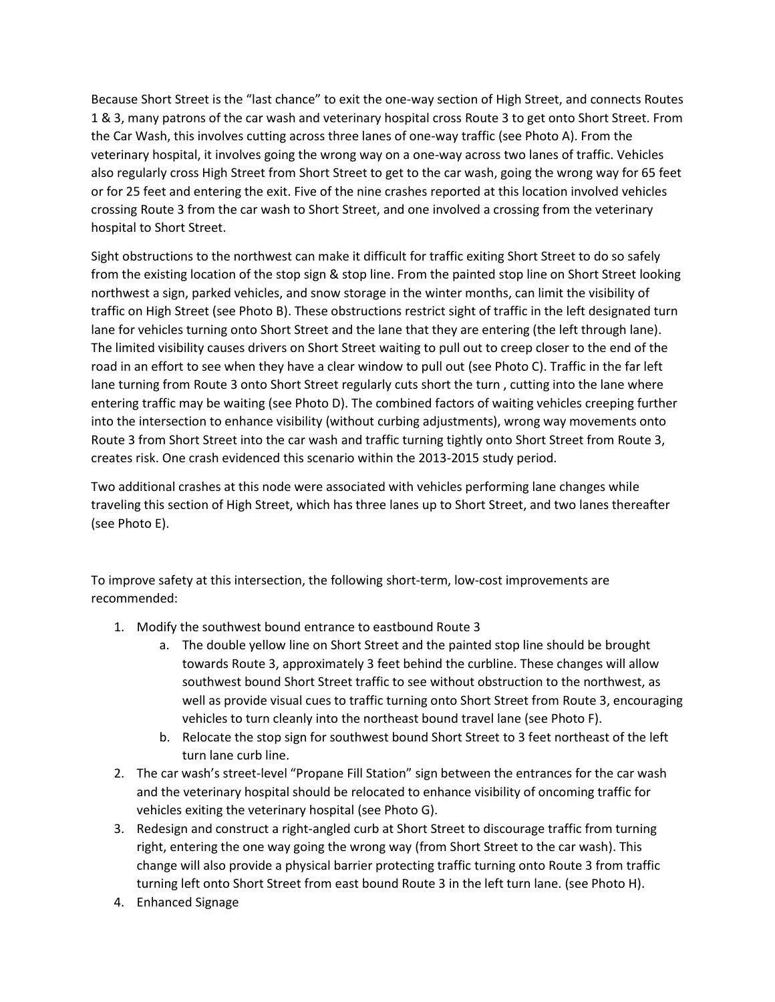Because Short Street is the "last chance" to exit the one-way section of High Street, and connects Routes 1 & 3, many patrons of the car wash and veterinary hospital cross Route 3 to get onto Short Street. From the Car Wash, this involves cutting across three lanes of one-way traffic (see Photo A). From the veterinary hospital, it involves going the wrong way on a one-way across two lanes of traffic. Vehicles also regularly cross High Street from Short Street to get to the car wash, going the wrong way for 65 feet or for 25 feet and entering the exit. Five of the nine crashes reported at this location involved vehicles crossing Route 3 from the car wash to Short Street, and one involved a crossing from the veterinary hospital to Short Street.

Sight obstructions to the northwest can make it difficult for traffic exiting Short Street to do so safely from the existing location of the stop sign & stop line. From the painted stop line on Short Street looking northwest a sign, parked vehicles, and snow storage in the winter months, can limit the visibility of traffic on High Street (see Photo B). These obstructions restrict sight of traffic in the left designated turn lane for vehicles turning onto Short Street and the lane that they are entering (the left through lane). The limited visibility causes drivers on Short Street waiting to pull out to creep closer to the end of the road in an effort to see when they have a clear window to pull out (see Photo C). Traffic in the far left lane turning from Route 3 onto Short Street regularly cuts short the turn , cutting into the lane where entering traffic may be waiting (see Photo D). The combined factors of waiting vehicles creeping further into the intersection to enhance visibility (without curbing adjustments), wrong way movements onto Route 3 from Short Street into the car wash and traffic turning tightly onto Short Street from Route 3, creates risk. One crash evidenced this scenario within the 2013-2015 study period.

Two additional crashes at this node were associated with vehicles performing lane changes while traveling this section of High Street, which has three lanes up to Short Street, and two lanes thereafter (see Photo E).

To improve safety at this intersection, the following short-term, low-cost improvements are recommended:

- 1. Modify the southwest bound entrance to eastbound Route 3
	- a. The double yellow line on Short Street and the painted stop line should be brought towards Route 3, approximately 3 feet behind the curbline. These changes will allow southwest bound Short Street traffic to see without obstruction to the northwest, as well as provide visual cues to traffic turning onto Short Street from Route 3, encouraging vehicles to turn cleanly into the northeast bound travel lane (see Photo F).
	- b. Relocate the stop sign for southwest bound Short Street to 3 feet northeast of the left turn lane curb line.
- 2. The car wash's street-level "Propane Fill Station" sign between the entrances for the car wash and the veterinary hospital should be relocated to enhance visibility of oncoming traffic for vehicles exiting the veterinary hospital (see Photo G).
- 3. Redesign and construct a right-angled curb at Short Street to discourage traffic from turning right, entering the one way going the wrong way (from Short Street to the car wash). This change will also provide a physical barrier protecting traffic turning onto Route 3 from traffic turning left onto Short Street from east bound Route 3 in the left turn lane. (see Photo H).
- 4. Enhanced Signage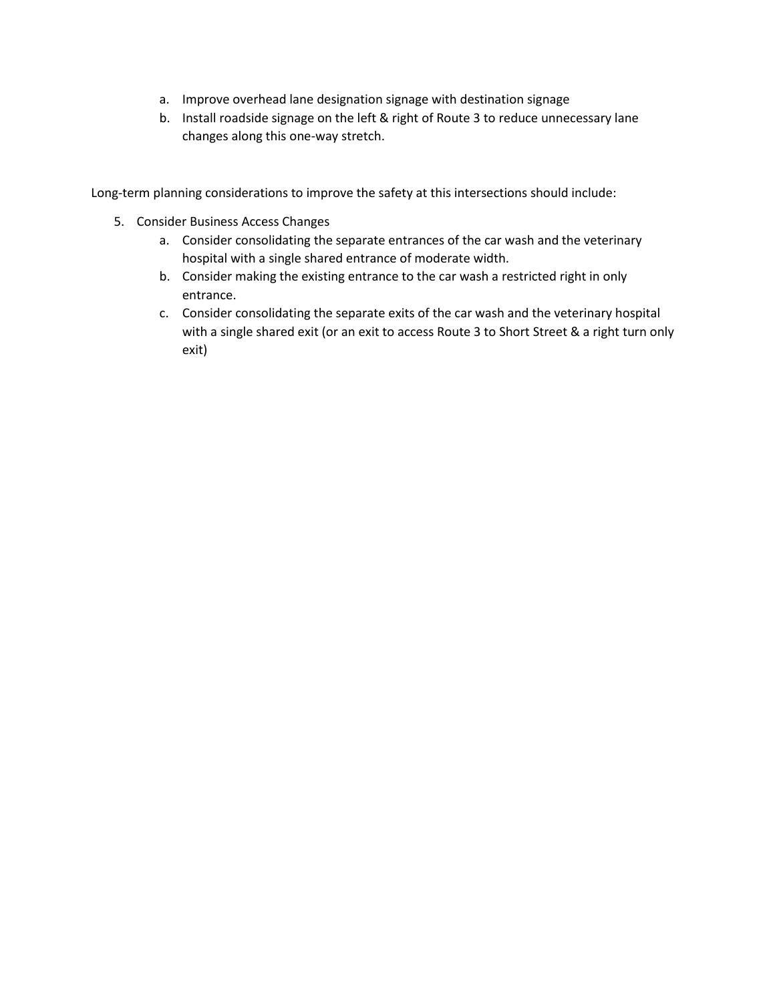- a. Improve overhead lane designation signage with destination signage
- b. Install roadside signage on the left & right of Route 3 to reduce unnecessary lane changes along this one-way stretch.

Long-term planning considerations to improve the safety at this intersections should include:

- 5. Consider Business Access Changes
	- a. Consider consolidating the separate entrances of the car wash and the veterinary hospital with a single shared entrance of moderate width.
	- b. Consider making the existing entrance to the car wash a restricted right in only entrance.
	- c. Consider consolidating the separate exits of the car wash and the veterinary hospital with a single shared exit (or an exit to access Route 3 to Short Street & a right turn only exit)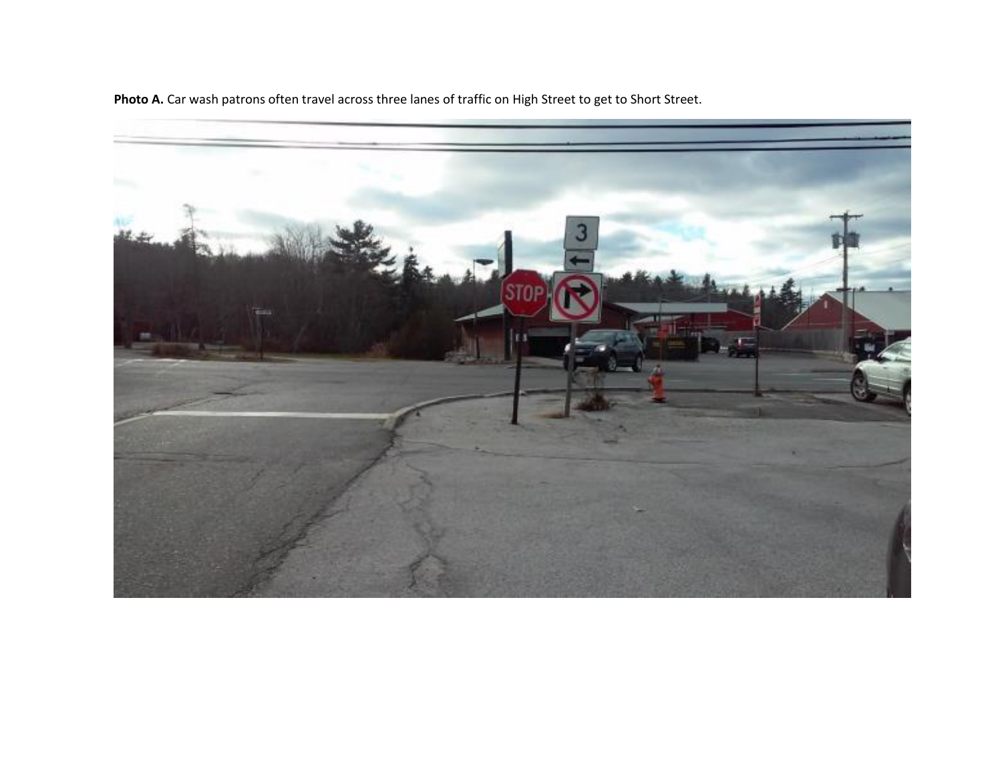

**Photo A.** Car wash patrons often travel across three lanes of traffic on High Street to get to Short Street.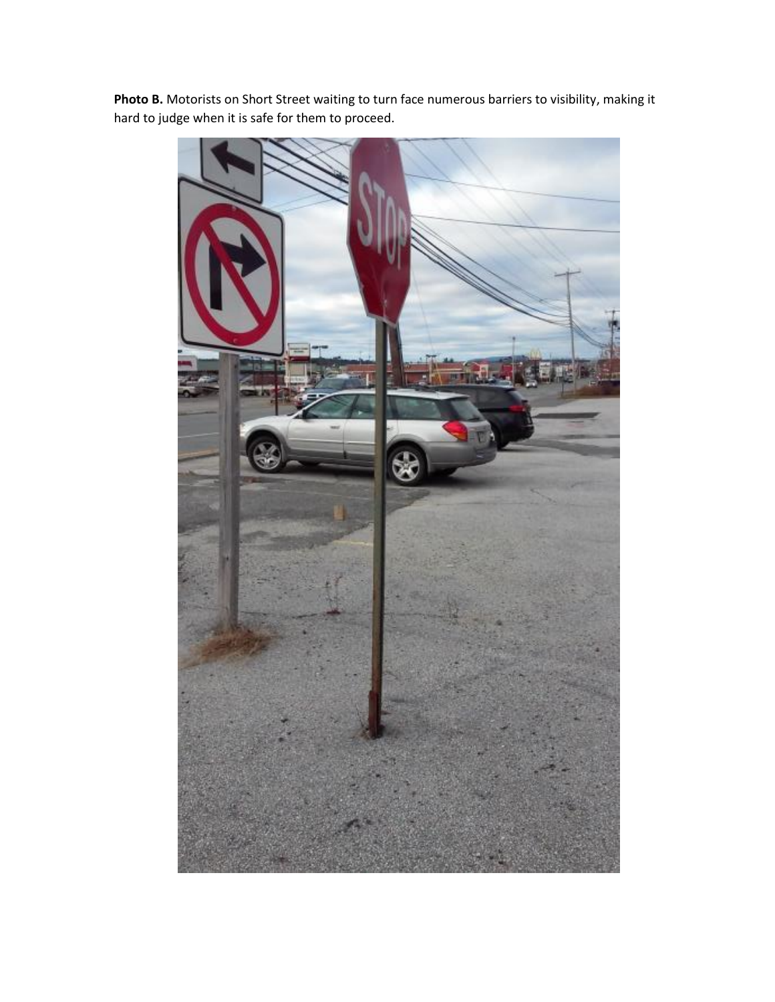

**Photo B.** Motorists on Short Street waiting to turn face numerous barriers to visibility, making it hard to judge when it is safe for them to proceed.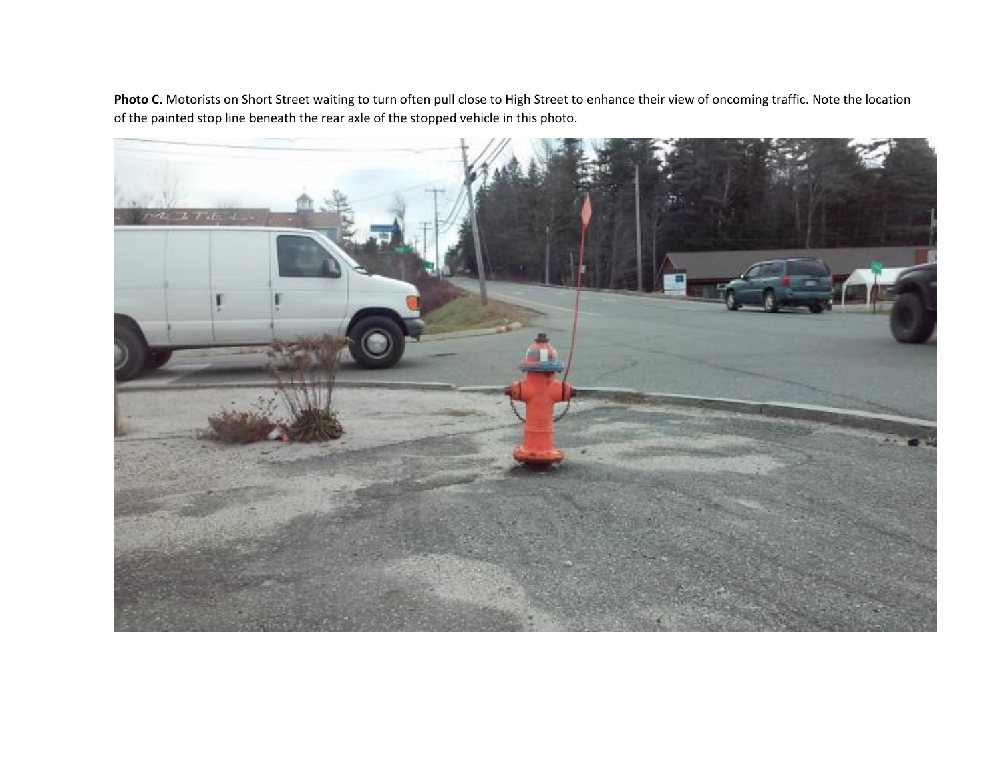Photo C. Motorists on Short Street waiting to turn often pull close to High Street to enhance their view of oncoming traffic. Note the location of the painted stop line beneath the rear axle of the stopped vehicle in this photo.

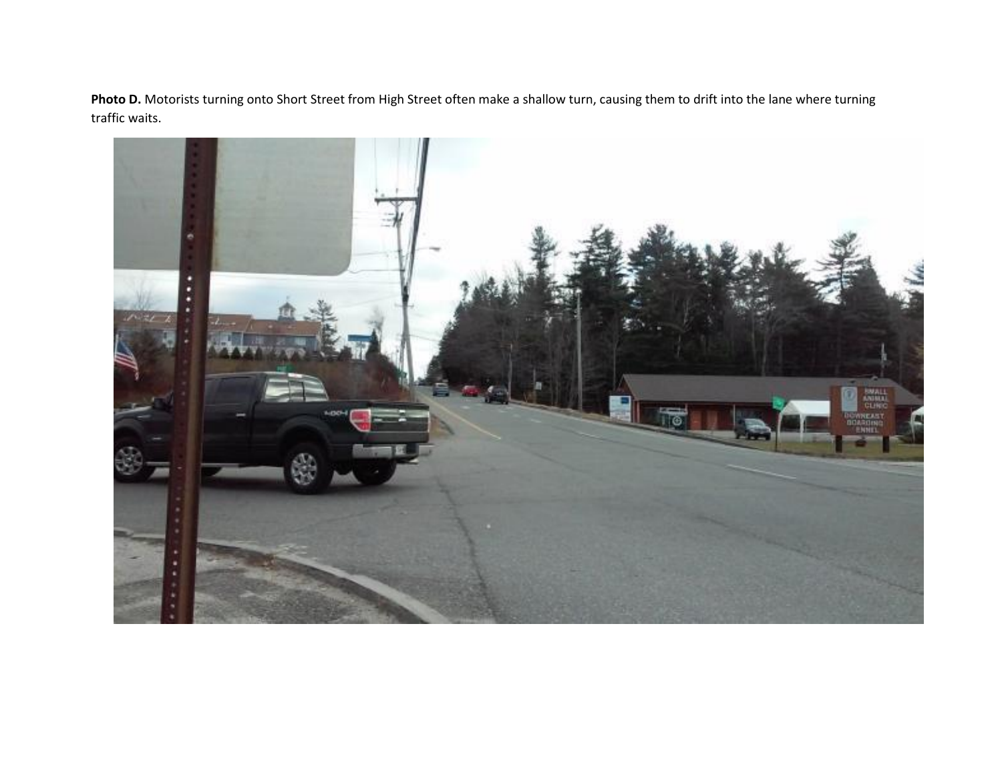Photo D. Motorists turning onto Short Street from High Street often make a shallow turn, causing them to drift into the lane where turning traffic waits.

![](_page_6_Picture_1.jpeg)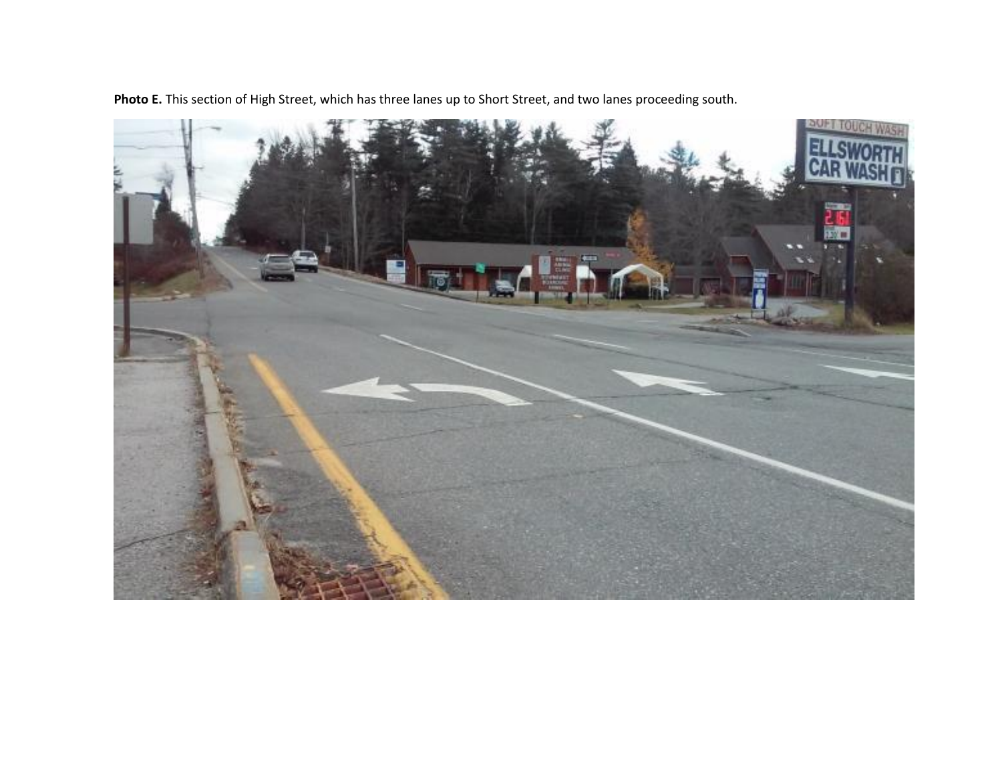**Photo E.** This section of High Street, which has three lanes up to Short Street, and two lanes proceeding south.

![](_page_7_Picture_1.jpeg)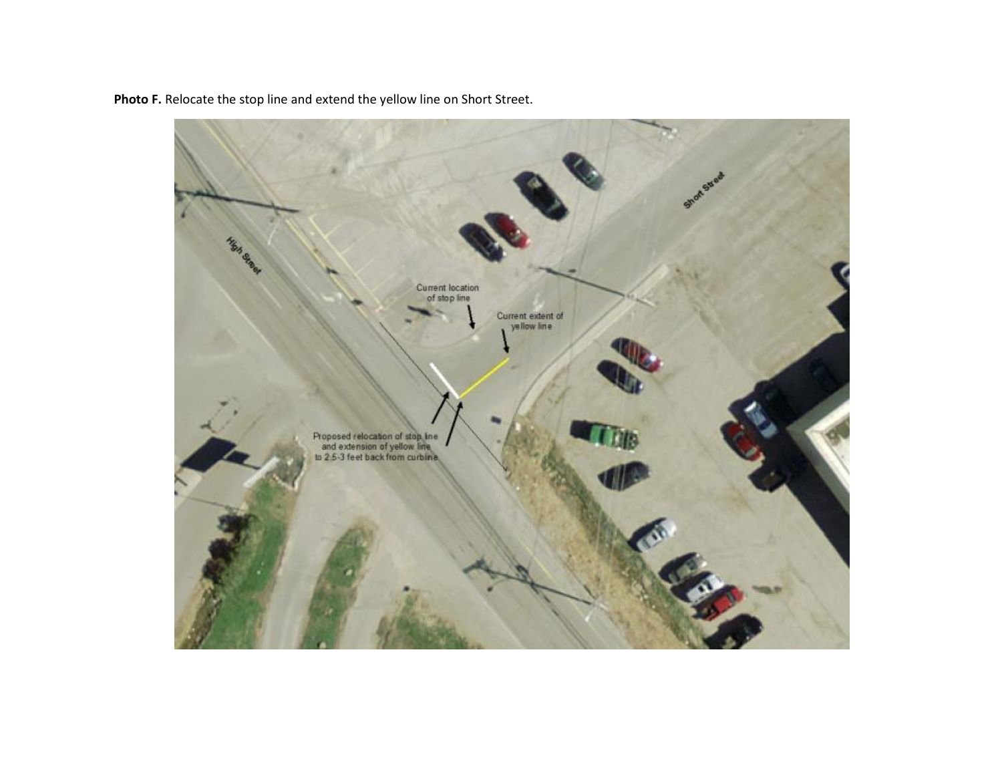![](_page_8_Picture_0.jpeg)

**Photo F.** Relocate the stop line and extend the yellow line on Short Street.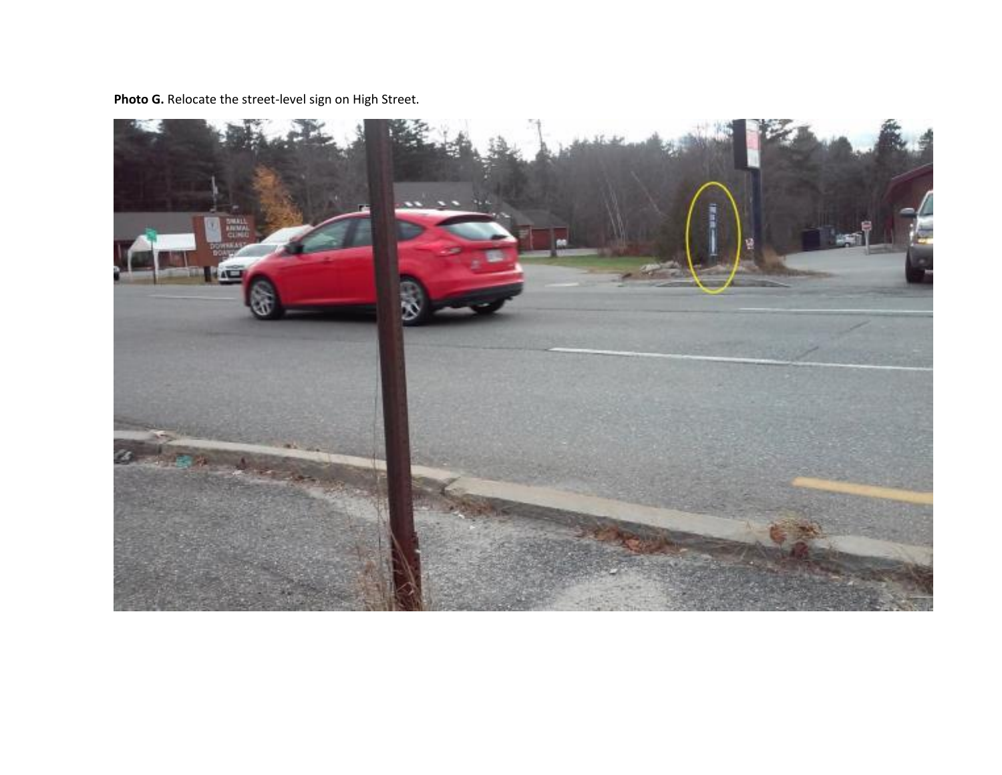**Photo G.** Relocate the street-level sign on High Street.

![](_page_9_Picture_1.jpeg)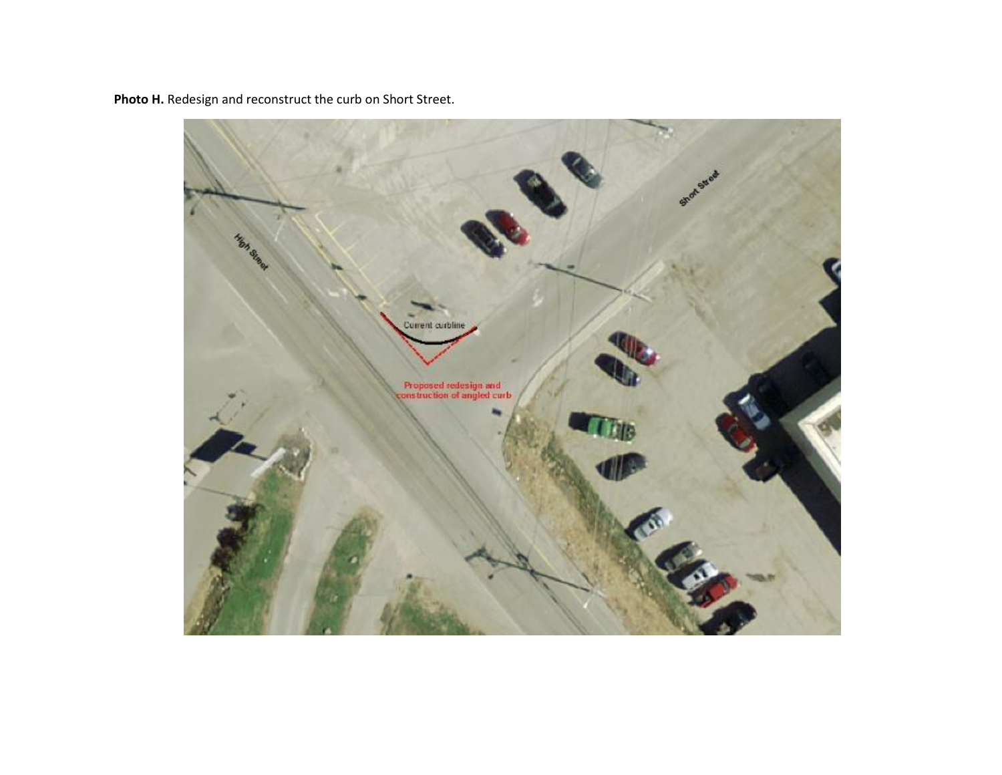![](_page_10_Picture_0.jpeg)

**Photo H.** Redesign and reconstruct the curb on Short Street.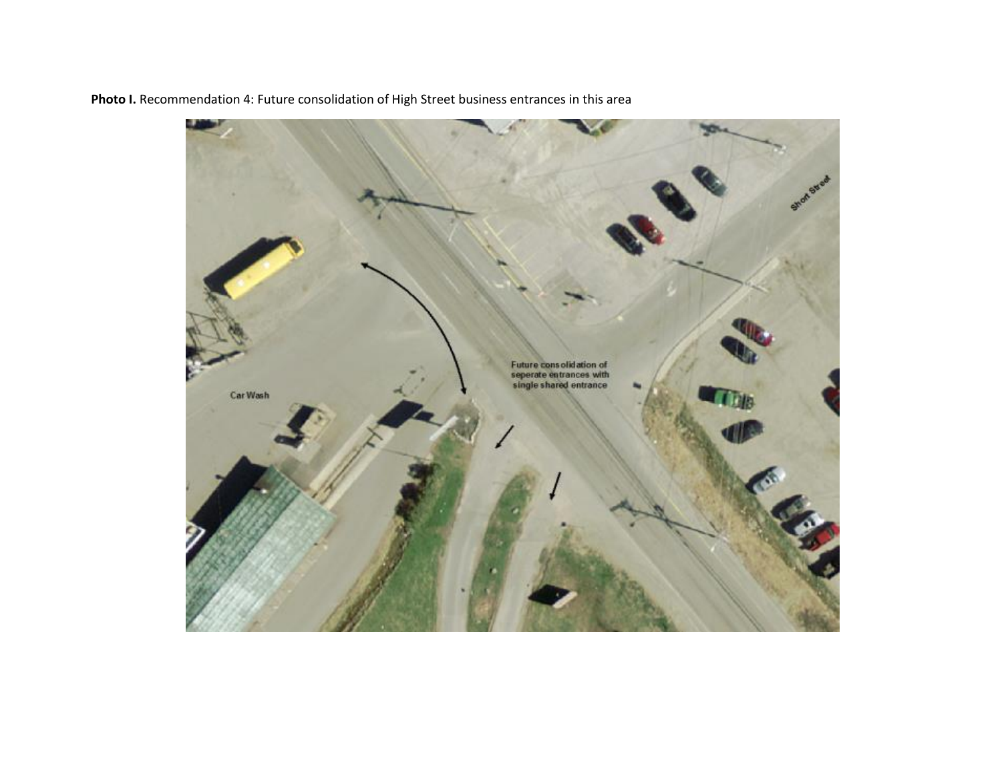![](_page_11_Picture_0.jpeg)

**Photo I.** Recommendation 4: Future consolidation of High Street business entrances in this area